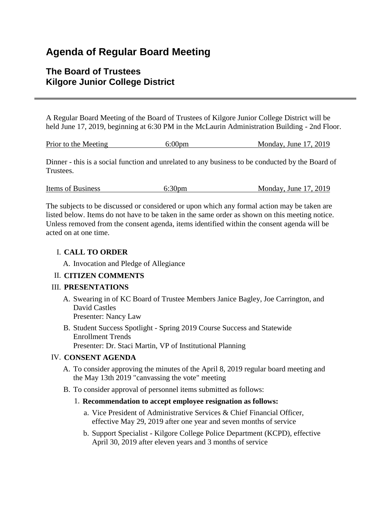# **Agenda of Regular Board Meeting**

## **The Board of Trustees Kilgore Junior College District**

A Regular Board Meeting of the Board of Trustees of Kilgore Junior College District will be held June 17, 2019, beginning at 6:30 PM in the McLaurin Administration Building - 2nd Floor.

|  | Prior to the Meeting | $6:00$ pm | Monday, June $17, 2019$ |
|--|----------------------|-----------|-------------------------|
|--|----------------------|-----------|-------------------------|

Dinner - this is a social function and unrelated to any business to be conducted by the Board of Trustees.

| Items of Business | 6:30 <sub>pm</sub> | Monday, June 17, 2019 |
|-------------------|--------------------|-----------------------|
|                   |                    |                       |

The subjects to be discussed or considered or upon which any formal action may be taken are listed below. Items do not have to be taken in the same order as shown on this meeting notice. Unless removed from the consent agenda, items identified within the consent agenda will be acted on at one time.

## I. **CALL TO ORDER**

A. Invocation and Pledge of Allegiance

## II. **CITIZEN COMMENTS**

## III. **PRESENTATIONS**

- A. Swearing in of KC Board of Trustee Members Janice Bagley, Joe Carrington, and David Castles Presenter: Nancy Law
- B. Student Success Spotlight Spring 2019 Course Success and Statewide Enrollment Trends Presenter: Dr. Staci Martin, VP of Institutional Planning

## IV. **CONSENT AGENDA**

- A. To consider approving the minutes of the April 8, 2019 regular board meeting and the May 13th 2019 "canvassing the vote" meeting
- B. To consider approval of personnel items submitted as follows:

## 1. **Recommendation to accept employee resignation as follows:**

- a. Vice President of Administrative Services & Chief Financial Officer, effective May 29, 2019 after one year and seven months of service
- b. Support Specialist Kilgore College Police Department (KCPD), effective April 30, 2019 after eleven years and 3 months of service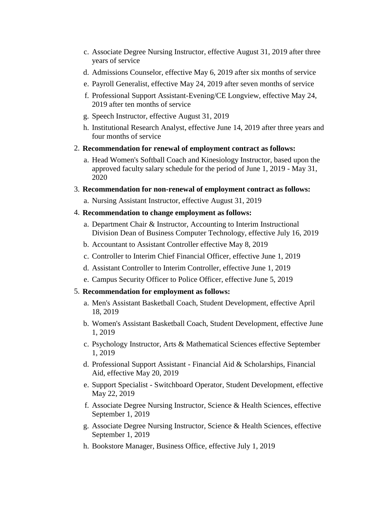- c. Associate Degree Nursing Instructor, effective August 31, 2019 after three years of service
- d. Admissions Counselor, effective May 6, 2019 after six months of service
- e. Payroll Generalist, effective May 24, 2019 after seven months of service
- f. Professional Support Assistant-Evening/CE Longview, effective May 24, 2019 after ten months of service
- g. Speech Instructor, effective August 31, 2019
- h. Institutional Research Analyst, effective June 14, 2019 after three years and four months of service
- 2. **Recommendation for renewal of employment contract as follows:**
	- a. Head Women's Softball Coach and Kinesiology Instructor, based upon the approved faculty salary schedule for the period of June 1, 2019 - May 31, 2020
- 3. **Recommendation for non-renewal of employment contract as follows:**
	- a. Nursing Assistant Instructor, effective August 31, 2019
- 4. **Recommendation to change employment as follows:**
	- a. Department Chair & Instructor, Accounting to Interim Instructional Division Dean of Business Computer Technology, effective July 16, 2019
	- b. Accountant to Assistant Controller effective May 8, 2019
	- c. Controller to Interim Chief Financial Officer, effective June 1, 2019
	- d. Assistant Controller to Interim Controller, effective June 1, 2019
	- e. Campus Security Officer to Police Officer, effective June 5, 2019

#### 5. **Recommendation for employment as follows:**

- a. Men's Assistant Basketball Coach, Student Development, effective April 18, 2019
- b. Women's Assistant Basketball Coach, Student Development, effective June 1, 2019
- c. Psychology Instructor, Arts & Mathematical Sciences effective September 1, 2019
- d. Professional Support Assistant Financial Aid & Scholarships, Financial Aid, effective May 20, 2019
- e. Support Specialist Switchboard Operator, Student Development, effective May 22, 2019
- f. Associate Degree Nursing Instructor, Science & Health Sciences, effective September 1, 2019
- g. Associate Degree Nursing Instructor, Science & Health Sciences, effective September 1, 2019
- h. Bookstore Manager, Business Office, effective July 1, 2019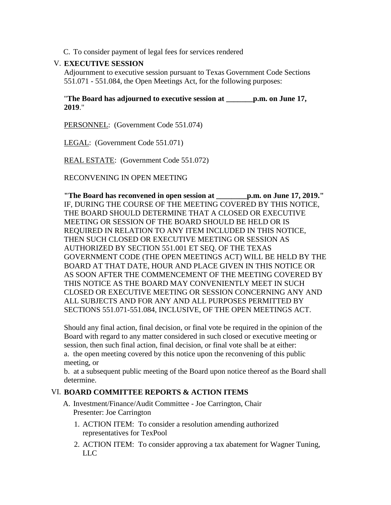C. To consider payment of legal fees for services rendered

## V. **EXECUTIVE SESSION**

Adjournment to executive session pursuant to Texas Government Code Sections 551.071 - 551.084, the Open Meetings Act, for the following purposes:

#### "**The Board has adjourned to executive session at \_\_\_\_\_\_\_p.m. on June 17, 2019**."

PERSONNEL: (Government Code 551.074)

LEGAL: (Government Code 551.071)

REAL ESTATE: (Government Code 551.072)

RECONVENING IN OPEN MEETING

**"The Board has reconvened in open session at \_\_\_\_\_\_\_\_p.m. on June 17, 2019."** IF, DURING THE COURSE OF THE MEETING COVERED BY THIS NOTICE, THE BOARD SHOULD DETERMINE THAT A CLOSED OR EXECUTIVE MEETING OR SESSION OF THE BOARD SHOULD BE HELD OR IS REQUIRED IN RELATION TO ANY ITEM INCLUDED IN THIS NOTICE, THEN SUCH CLOSED OR EXECUTIVE MEETING OR SESSION AS AUTHORIZED BY SECTION 551.001 ET SEQ. OF THE TEXAS GOVERNMENT CODE (THE OPEN MEETINGS ACT) WILL BE HELD BY THE BOARD AT THAT DATE, HOUR AND PLACE GIVEN IN THIS NOTICE OR AS SOON AFTER THE COMMENCEMENT OF THE MEETING COVERED BY THIS NOTICE AS THE BOARD MAY CONVENIENTLY MEET IN SUCH CLOSED OR EXECUTIVE MEETING OR SESSION CONCERNING ANY AND ALL SUBJECTS AND FOR ANY AND ALL PURPOSES PERMITTED BY SECTIONS 551.071-551.084, INCLUSIVE, OF THE OPEN MEETINGS ACT.

Should any final action, final decision, or final vote be required in the opinion of the Board with regard to any matter considered in such closed or executive meeting or session, then such final action, final decision, or final vote shall be at either: a. the open meeting covered by this notice upon the reconvening of this public meeting, or

b. at a subsequent public meeting of the Board upon notice thereof as the Board shall determine.

#### VI. **BOARD COMMITTEE REPORTS & ACTION ITEMS**

- A. Investment/Finance/Audit Committee Joe Carrington, Chair Presenter: Joe Carrington
	- 1. ACTION ITEM: To consider a resolution amending authorized representatives for TexPool
	- 2. ACTION ITEM: To consider approving a tax abatement for Wagner Tuning, LLC